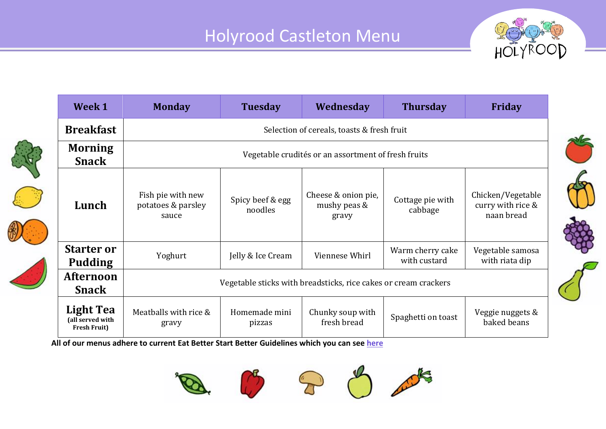

|  | Week 1                                               | <b>Monday</b>                                                   | <b>Tuesday</b>              | Wednesday                                    | <b>Thursday</b>                  | <b>Friday</b>                                        |  |  |
|--|------------------------------------------------------|-----------------------------------------------------------------|-----------------------------|----------------------------------------------|----------------------------------|------------------------------------------------------|--|--|
|  | <b>Breakfast</b>                                     | Selection of cereals, toasts & fresh fruit                      |                             |                                              |                                  |                                                      |  |  |
|  | <b>Morning</b><br><b>Snack</b>                       | Vegetable crudités or an assortment of fresh fruits             |                             |                                              |                                  |                                                      |  |  |
|  | Lunch                                                | Fish pie with new<br>potatoes & parsley<br>sauce                | Spicy beef & egg<br>noodles | Cheese & onion pie,<br>mushy peas &<br>gravy | Cottage pie with<br>cabbage      | Chicken/Vegetable<br>curry with rice &<br>naan bread |  |  |
|  | <b>Starter or</b><br><b>Pudding</b>                  | Yoghurt                                                         | Jelly & Ice Cream           | Viennese Whirl                               | Warm cherry cake<br>with custard | Vegetable samosa<br>with riata dip                   |  |  |
|  | <b>Afternoon</b><br><b>Snack</b>                     | Vegetable sticks with breadsticks, rice cakes or cream crackers |                             |                                              |                                  |                                                      |  |  |
|  | Light Tea<br>(all served with<br><b>Fresh Fruit)</b> | Meatballs with rice &<br>gravy                                  | Homemade mini<br>pizzas     | Chunky soup with<br>fresh bread              | Spaghetti on toast               | Veggie nuggets &<br>baked beans                      |  |  |

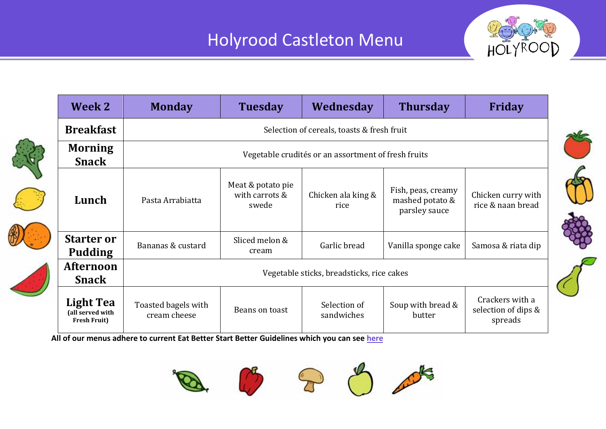

| Week 2                                                      | <b>Monday</b>                                       | <b>Tuesday</b>                               | Wednesday                  | <b>Thursday</b>                                        | Friday                                            |  |  |  |
|-------------------------------------------------------------|-----------------------------------------------------|----------------------------------------------|----------------------------|--------------------------------------------------------|---------------------------------------------------|--|--|--|
| <b>Breakfast</b>                                            | Selection of cereals, toasts & fresh fruit          |                                              |                            |                                                        |                                                   |  |  |  |
| <b>Morning</b><br><b>Snack</b>                              | Vegetable crudités or an assortment of fresh fruits |                                              |                            |                                                        |                                                   |  |  |  |
| Lunch                                                       | Pasta Arrabiatta                                    | Meat & potato pie<br>with carrots &<br>swede | Chicken ala king &<br>rice | Fish, peas, creamy<br>mashed potato &<br>parsley sauce | Chicken curry with<br>rice & naan bread           |  |  |  |
| <b>Starter or</b><br><b>Pudding</b>                         | Bananas & custard                                   | Sliced melon &<br>cream                      | Garlic bread               | Vanilla sponge cake                                    | Samosa & riata dip                                |  |  |  |
| <b>Afternoon</b><br><b>Snack</b>                            | Vegetable sticks, breadsticks, rice cakes           |                                              |                            |                                                        |                                                   |  |  |  |
| <b>Light Tea</b><br>(all served with<br><b>Fresh Fruit)</b> | Toasted bagels with<br>cream cheese                 | Beans on toast                               | Selection of<br>sandwiches | Soup with bread &<br>butter                            | Crackers with a<br>selection of dips &<br>spreads |  |  |  |

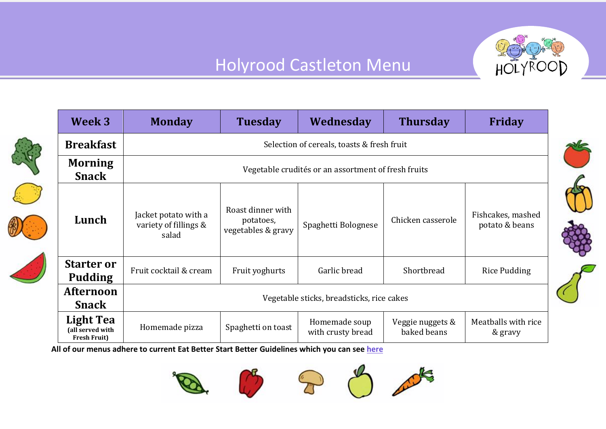

|  | Week 3                                                      | <b>Monday</b>                                          | <b>Tuesday</b>                                       | Wednesday                          | <b>Thursday</b>                 | <b>Friday</b>                       |  |  |
|--|-------------------------------------------------------------|--------------------------------------------------------|------------------------------------------------------|------------------------------------|---------------------------------|-------------------------------------|--|--|
|  | <b>Breakfast</b>                                            | Selection of cereals, toasts & fresh fruit             |                                                      |                                    |                                 |                                     |  |  |
|  | <b>Morning</b><br><b>Snack</b>                              | Vegetable crudités or an assortment of fresh fruits    |                                                      |                                    |                                 |                                     |  |  |
|  | Lunch                                                       | Jacket potato with a<br>variety of fillings &<br>salad | Roast dinner with<br>potatoes,<br>vegetables & gravy | Spaghetti Bolognese                | Chicken casserole               | Fishcakes, mashed<br>potato & beans |  |  |
|  | <b>Starter or</b><br><b>Pudding</b>                         | Fruit cocktail & cream                                 | Fruit yoghurts                                       | Garlic bread                       | Shortbread                      | <b>Rice Pudding</b>                 |  |  |
|  | <b>Afternoon</b><br><b>Snack</b>                            | Vegetable sticks, breadsticks, rice cakes              |                                                      |                                    |                                 |                                     |  |  |
|  | <b>Light Tea</b><br>(all served with<br><b>Fresh Fruit)</b> | Homemade pizza                                         | Spaghetti on toast                                   | Homemade soup<br>with crusty bread | Veggie nuggets &<br>baked beans | Meatballs with rice<br>& gravy      |  |  |